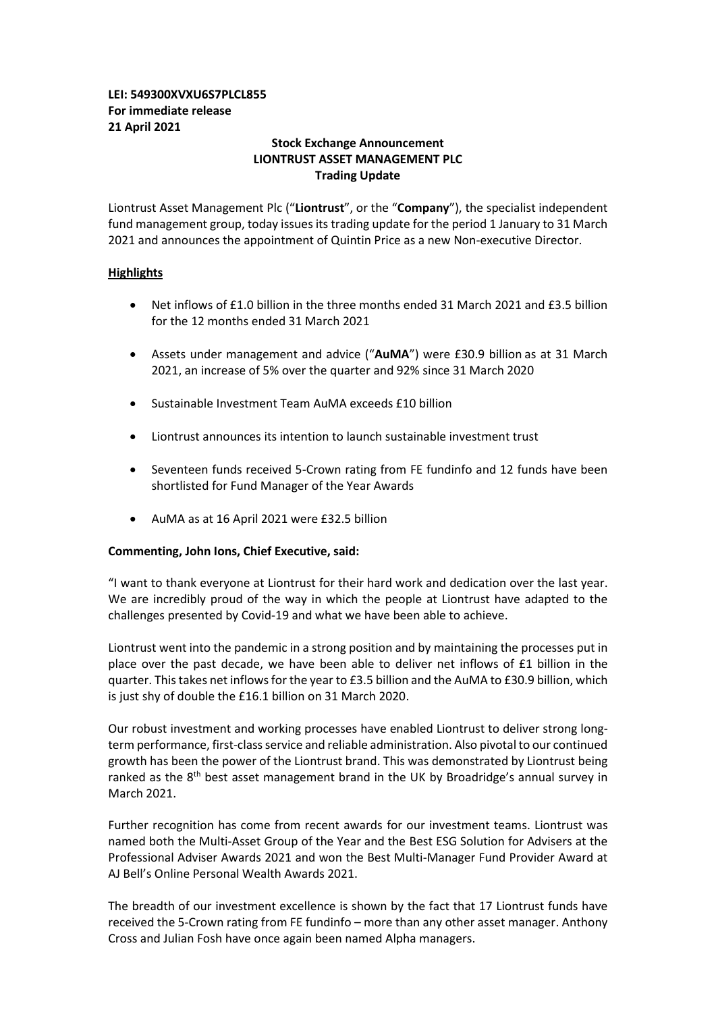# **LEI: 549300XVXU6S7PLCL855 For immediate release 21 April 2021**

# **Stock Exchange Announcement LIONTRUST ASSET MANAGEMENT PLC Trading Update**

Liontrust Asset Management Plc ("**Liontrust**", or the "**Company**"), the specialist independent fund management group, today issues its trading update for the period 1 January to 31 March 2021 and announces the appointment of Quintin Price as a new Non-executive Director.

# **Highlights**

- Net inflows of £1.0 billion in the three months ended 31 March 2021 and £3.5 billion for the 12 months ended 31 March 2021
- Assets under management and advice ("**AuMA**") were £30.9 billion as at 31 March 2021, an increase of 5% over the quarter and 92% since 31 March 2020
- Sustainable Investment Team AuMA exceeds £10 billion
- Liontrust announces its intention to launch sustainable investment trust
- Seventeen funds received 5-Crown rating from FE fundinfo and 12 funds have been shortlisted for Fund Manager of the Year Awards
- AuMA as at 16 April 2021 were £32.5 billion

## **Commenting, John Ions, Chief Executive, said:**

"I want to thank everyone at Liontrust for their hard work and dedication over the last year. We are incredibly proud of the way in which the people at Liontrust have adapted to the challenges presented by Covid-19 and what we have been able to achieve.

Liontrust went into the pandemic in a strong position and by maintaining the processes put in place over the past decade, we have been able to deliver net inflows of £1 billion in the quarter. Thistakes net inflows for the year to £3.5 billion and the AuMA to £30.9 billion, which is just shy of double the £16.1 billion on 31 March 2020.

Our robust investment and working processes have enabled Liontrust to deliver strong longterm performance, first-class service and reliable administration. Also pivotal to our continued growth has been the power of the Liontrust brand. This was demonstrated by Liontrust being ranked as the 8<sup>th</sup> best asset management brand in the UK by Broadridge's annual survey in March 2021.

Further recognition has come from recent awards for our investment teams. Liontrust was named both the Multi-Asset Group of the Year and the Best ESG Solution for Advisers at the Professional Adviser Awards 2021 and won the Best Multi-Manager Fund Provider Award at AJ Bell's Online Personal Wealth Awards 2021.

The breadth of our investment excellence is shown by the fact that 17 Liontrust funds have received the 5-Crown rating from FE fundinfo – more than any other asset manager. Anthony Cross and Julian Fosh have once again been named Alpha managers.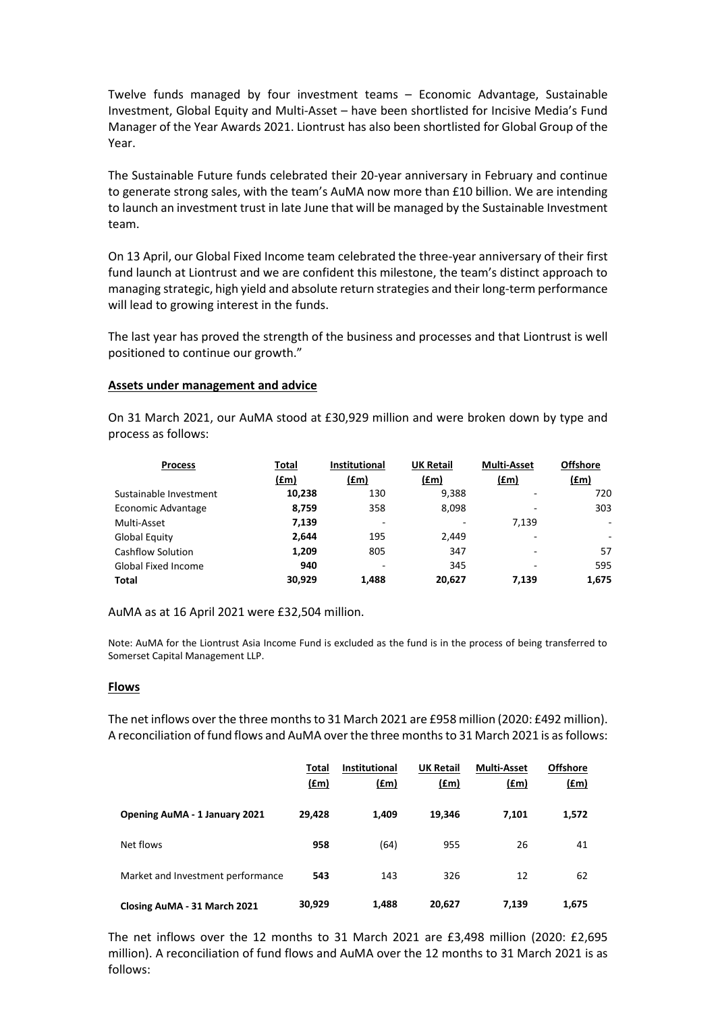Twelve funds managed by four investment teams – Economic Advantage, Sustainable Investment, Global Equity and Multi-Asset – have been shortlisted for Incisive Media's Fund Manager of the Year Awards 2021. Liontrust has also been shortlisted for Global Group of the Year.

The Sustainable Future funds celebrated their 20-year anniversary in February and continue to generate strong sales, with the team's AuMA now more than £10 billion. We are intending to launch an investment trust in late June that will be managed by the Sustainable Investment team.

On 13 April, our Global Fixed Income team celebrated the three-year anniversary of their first fund launch at Liontrust and we are confident this milestone, the team's distinct approach to managing strategic, high yield and absolute return strategies and their long-term performance will lead to growing interest in the funds.

The last year has proved the strength of the business and processes and that Liontrust is well positioned to continue our growth."

#### **Assets under management and advice**

On 31 March 2021, our AuMA stood at £30,929 million and were broken down by type and process as follows:

| <b>Process</b>             | Total  | <b>Institutional</b> | <b>UK Retail</b> | <b>Multi-Asset</b> | <b>Offshore</b>          |
|----------------------------|--------|----------------------|------------------|--------------------|--------------------------|
|                            | (£m)   | (fm)                 | (fm)             | (fm)               | (f.m)                    |
| Sustainable Investment     | 10,238 | 130                  | 9,388            |                    | 720                      |
| Economic Advantage         | 8,759  | 358                  | 8,098            |                    | 303                      |
| Multi-Asset                | 7,139  | ٠                    |                  | 7.139              | $\overline{\phantom{a}}$ |
| Global Equity              | 2,644  | 195                  | 2,449            |                    | ٠                        |
| <b>Cashflow Solution</b>   | 1,209  | 805                  | 347              |                    | 57                       |
| <b>Global Fixed Income</b> | 940    | ٠                    | 345              |                    | 595                      |
| Total                      | 30.929 | 1.488                | 20,627           | 7.139              | 1.675                    |

AuMA as at 16 April 2021 were £32,504 million.

Note: AuMA for the Liontrust Asia Income Fund is excluded as the fund is in the process of being transferred to Somerset Capital Management LLP.

## **Flows**

The net inflows over the three monthsto 31 March 2021 are £958 million (2020: £492 million). A reconciliation of fund flows and AuMA over the three monthsto 31 March 2021 is as follows:

|                                      | Total<br>$(\text{fm})$ | <b>Institutional</b><br>$(\text{fm})$ | <b>UK Retail</b><br>(f.m) | <b>Multi-Asset</b><br>$(\text{fm})$ | <b>Offshore</b><br>(f.m) |
|--------------------------------------|------------------------|---------------------------------------|---------------------------|-------------------------------------|--------------------------|
| <b>Opening AuMA - 1 January 2021</b> | 29,428                 | 1,409                                 | 19,346                    | 7,101                               | 1,572                    |
| Net flows                            | 958                    | (64)                                  | 955                       | 26                                  | 41                       |
| Market and Investment performance    | 543                    | 143                                   | 326                       | 12                                  | 62                       |
| Closing AuMA - 31 March 2021         | 30,929                 | 1,488                                 | 20,627                    | 7.139                               | 1,675                    |

The net inflows over the 12 months to 31 March 2021 are £3,498 million (2020: £2,695 million). A reconciliation of fund flows and AuMA over the 12 months to 31 March 2021 is as follows: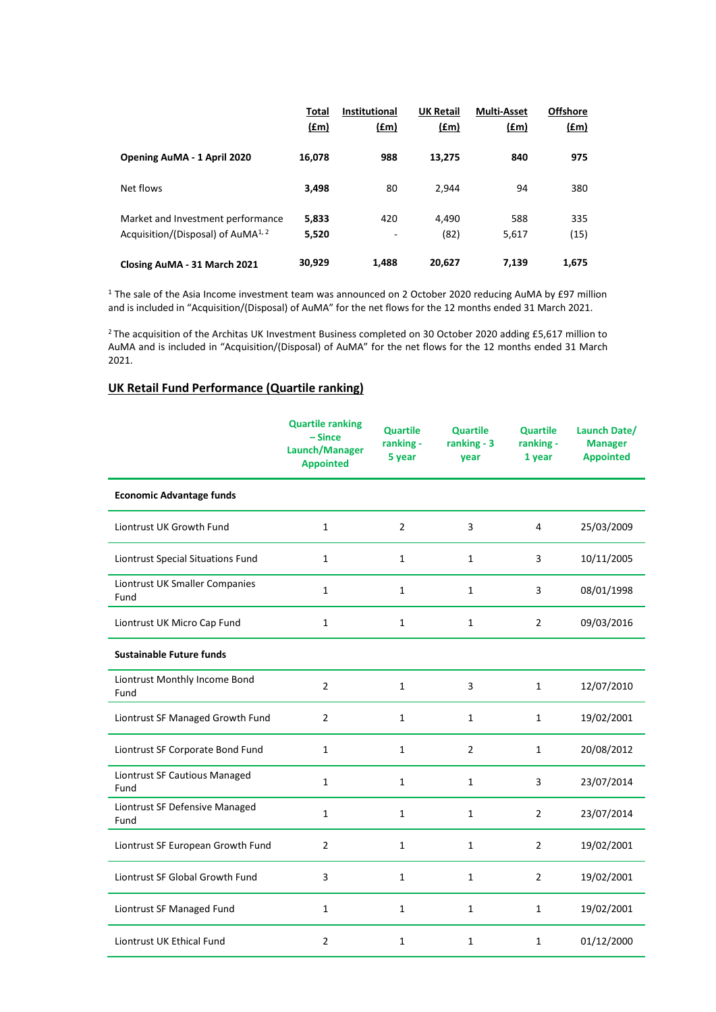|                                                                                     | <b>Total</b><br>f(m) | <b>Institutional</b><br><u>(£m)</u> | <b>UK Retail</b><br><u>(£m)</u> | <b>Multi-Asset</b><br><u>(£m)</u> | <b>Offshore</b><br><u>(£m)</u> |
|-------------------------------------------------------------------------------------|----------------------|-------------------------------------|---------------------------------|-----------------------------------|--------------------------------|
| Opening AuMA - 1 April 2020                                                         | 16,078               | 988                                 | 13.275                          | 840                               | 975                            |
| Net flows                                                                           | 3,498                | 80                                  | 2.944                           | 94                                | 380                            |
| Market and Investment performance<br>Acquisition/(Disposal) of AuMA <sup>1, 2</sup> | 5,833<br>5,520       | 420<br>۰                            | 4,490<br>(82)                   | 588<br>5,617                      | 335<br>(15)                    |
| Closing AuMA - 31 March 2021                                                        | 30,929               | 1.488                               | 20,627                          | 7,139                             | 1,675                          |

<sup>1</sup> The sale of the Asia Income investment team was announced on 2 October 2020 reducing AuMA by £97 million and is included in "Acquisition/(Disposal) of AuMA" for the net flows for the 12 months ended 31 March 2021.

<sup>2</sup> The acquisition of the Architas UK Investment Business completed on 30 October 2020 adding £5,617 million to AuMA and is included in "Acquisition/(Disposal) of AuMA" for the net flows for the 12 months ended 31 March 2021.

# **UK Retail Fund Performance (Quartile ranking)**

|                                        | <b>Quartile ranking</b><br>$-Since$<br>Launch/Manager<br><b>Appointed</b> | <b>Quartile</b><br>ranking -<br>5 year | <b>Quartile</b><br>ranking - 3<br>year | <b>Quartile</b><br>ranking -<br>1 year | Launch Date/<br><b>Manager</b><br><b>Appointed</b> |
|----------------------------------------|---------------------------------------------------------------------------|----------------------------------------|----------------------------------------|----------------------------------------|----------------------------------------------------|
| <b>Economic Advantage funds</b>        |                                                                           |                                        |                                        |                                        |                                                    |
| Liontrust UK Growth Fund               | 1                                                                         | 2                                      | 3                                      | 4                                      | 25/03/2009                                         |
| Liontrust Special Situations Fund      | 1                                                                         | 1                                      | 1                                      | 3                                      | 10/11/2005                                         |
| Liontrust UK Smaller Companies<br>Fund | 1                                                                         | $\mathbf{1}$                           | 1                                      | 3                                      | 08/01/1998                                         |
| Liontrust UK Micro Cap Fund            | $\mathbf{1}$                                                              | $\mathbf{1}$                           | 1                                      | $\overline{2}$                         | 09/03/2016                                         |
| <b>Sustainable Future funds</b>        |                                                                           |                                        |                                        |                                        |                                                    |
| Liontrust Monthly Income Bond<br>Fund  | $\overline{2}$                                                            | $\mathbf{1}$                           | 3                                      | 1                                      | 12/07/2010                                         |
| Liontrust SF Managed Growth Fund       | $\overline{2}$                                                            | $\mathbf{1}$                           | 1                                      | 1                                      | 19/02/2001                                         |
| Liontrust SF Corporate Bond Fund       | $\mathbf{1}$                                                              | $\mathbf{1}$                           | $\overline{2}$                         | 1                                      | 20/08/2012                                         |
| Liontrust SF Cautious Managed<br>Fund  | $\mathbf{1}$                                                              | $\mathbf{1}$                           | $\mathbf{1}$                           | 3                                      | 23/07/2014                                         |
| Liontrust SF Defensive Managed<br>Fund | $\mathbf{1}$                                                              | $\mathbf{1}$                           | $\mathbf{1}$                           | $\overline{2}$                         | 23/07/2014                                         |
| Liontrust SF European Growth Fund      | $\overline{2}$                                                            | $\mathbf{1}$                           | $\mathbf{1}$                           | $\overline{2}$                         | 19/02/2001                                         |
| Liontrust SF Global Growth Fund        | 3                                                                         | $\mathbf{1}$                           | $\mathbf{1}$                           | $\overline{2}$                         | 19/02/2001                                         |
| Liontrust SF Managed Fund              | 1                                                                         | 1                                      | 1                                      | $\mathbf{1}$                           | 19/02/2001                                         |
| Liontrust UK Ethical Fund              | 2                                                                         | 1                                      | 1                                      | 1                                      | 01/12/2000                                         |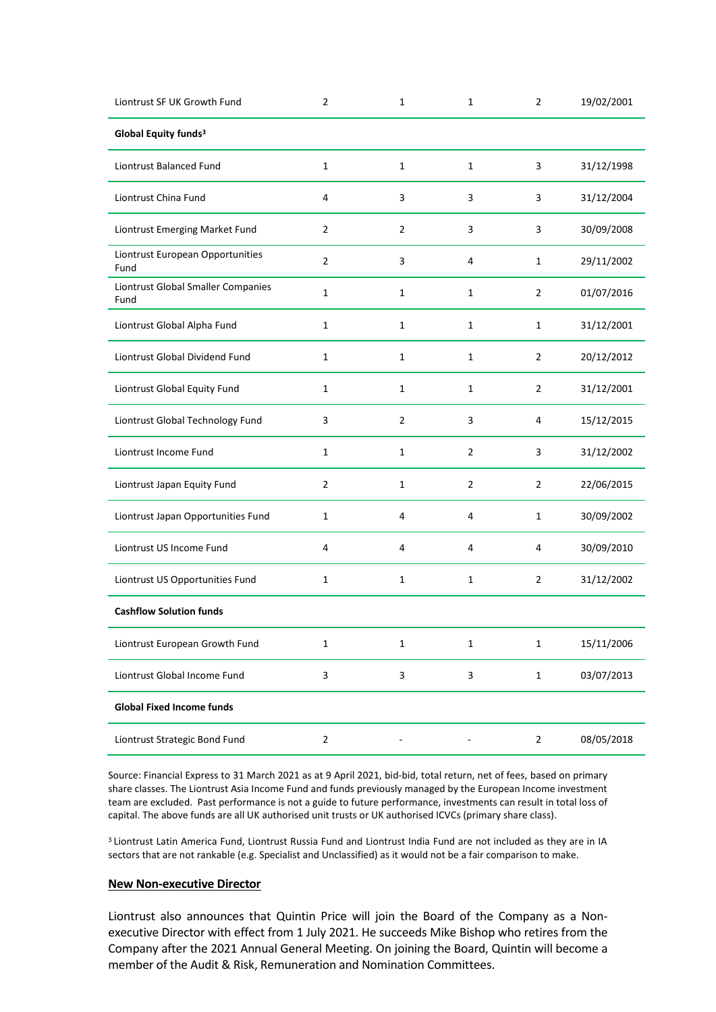| Liontrust SF UK Growth Fund                | $\overline{2}$ | 1              | $\mathbf{1}$   | 2              | 19/02/2001 |
|--------------------------------------------|----------------|----------------|----------------|----------------|------------|
| Global Equity funds <sup>3</sup>           |                |                |                |                |            |
| <b>Liontrust Balanced Fund</b>             | $\mathbf{1}$   | $\mathbf{1}$   | 1              | 3              | 31/12/1998 |
| Liontrust China Fund                       | 4              | 3              | 3              | 3              | 31/12/2004 |
| Liontrust Emerging Market Fund             | $\overline{2}$ | $\overline{2}$ | 3              | 3              | 30/09/2008 |
| Liontrust European Opportunities<br>Fund   | $\overline{2}$ | 3              | 4              | 1              | 29/11/2002 |
| Liontrust Global Smaller Companies<br>Fund | $\mathbf{1}$   | $\mathbf{1}$   | $\mathbf{1}$   | $\overline{2}$ | 01/07/2016 |
| Liontrust Global Alpha Fund                | $\mathbf{1}$   | $\mathbf{1}$   | 1              | $\mathbf{1}$   | 31/12/2001 |
| Liontrust Global Dividend Fund             | $\mathbf{1}$   | $\mathbf{1}$   | 1              | $\overline{2}$ | 20/12/2012 |
| Liontrust Global Equity Fund               | $\mathbf{1}$   | 1              | 1              | $\overline{2}$ | 31/12/2001 |
| Liontrust Global Technology Fund           | 3              | $\overline{2}$ | 3              | 4              | 15/12/2015 |
| Liontrust Income Fund                      | $\mathbf{1}$   | $\mathbf{1}$   | $\overline{2}$ | 3              | 31/12/2002 |
| Liontrust Japan Equity Fund                | $\overline{2}$ | $\mathbf 1$    | $\overline{2}$ | $\overline{2}$ | 22/06/2015 |
| Liontrust Japan Opportunities Fund         | $\mathbf{1}$   | 4              | 4              | $\mathbf{1}$   | 30/09/2002 |
| Liontrust US Income Fund                   | 4              | 4              | 4              | 4              | 30/09/2010 |
| Liontrust US Opportunities Fund            | $\mathbf{1}$   | 1              | 1              | $\overline{2}$ | 31/12/2002 |
| <b>Cashflow Solution funds</b>             |                |                |                |                |            |
| Liontrust European Growth Fund             | $\mathbf{1}$   | $\mathbf{1}$   | $\mathbf{1}$   | $\mathbf{1}$   | 15/11/2006 |
| Liontrust Global Income Fund               | $\mathsf{3}$   | 3              | 3              | $\mathbf{1}$   | 03/07/2013 |
| <b>Global Fixed Income funds</b>           |                |                |                |                |            |
| Liontrust Strategic Bond Fund              | $\overline{2}$ |                |                | $\overline{2}$ | 08/05/2018 |

Source: Financial Express to 31 March 2021 as at 9 April 2021, bid-bid, total return, net of fees, based on primary share classes. The Liontrust Asia Income Fund and funds previously managed by the European Income investment team are excluded. Past performance is not a guide to future performance, investments can result in total loss of capital. The above funds are all UK authorised unit trusts or UK authorised ICVCs (primary share class).

<sup>3</sup> Liontrust Latin America Fund, Liontrust Russia Fund and Liontrust India Fund are not included as they are in IA sectors that are not rankable (e.g. Specialist and Unclassified) as it would not be a fair comparison to make.

## **New Non-executive Director**

Liontrust also announces that Quintin Price will join the Board of the Company as a Nonexecutive Director with effect from 1 July 2021. He succeeds Mike Bishop who retires from the Company after the 2021 Annual General Meeting. On joining the Board, Quintin will become a member of the Audit & Risk, Remuneration and Nomination Committees.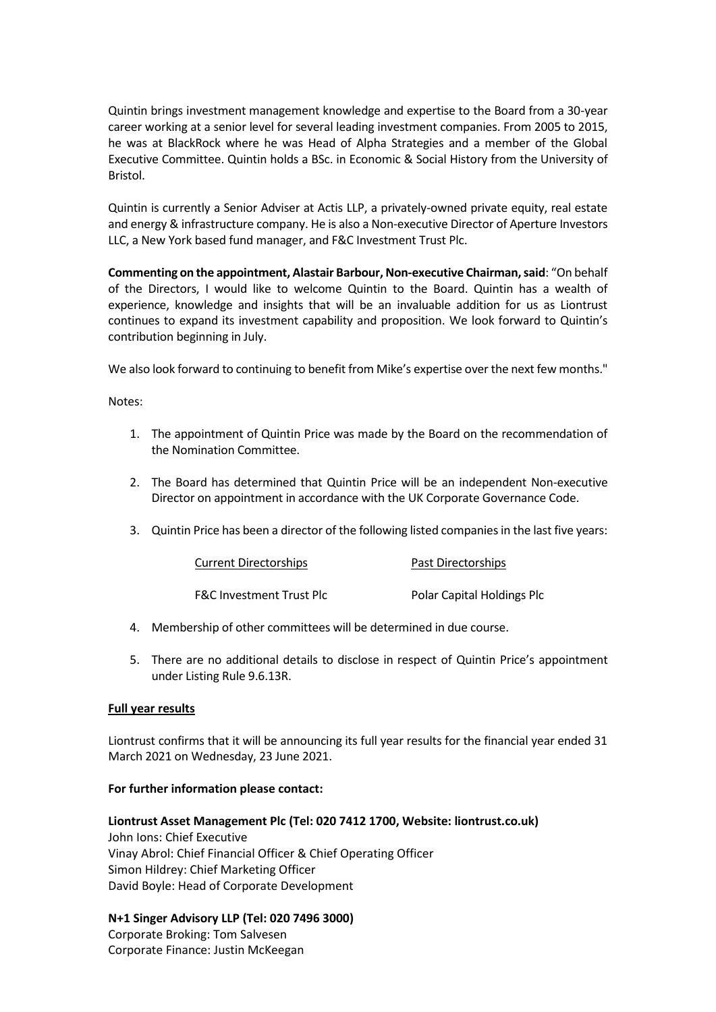Quintin brings investment management knowledge and expertise to the Board from a 30-year career working at a senior level for several leading investment companies. From 2005 to 2015, he was at BlackRock where he was Head of Alpha Strategies and a member of the Global Executive Committee. Quintin holds a BSc. in Economic & Social History from the University of Bristol.

Quintin is currently a Senior Adviser at Actis LLP, a privately-owned private equity, real estate and energy & infrastructure company. He is also a Non-executive Director of Aperture Investors LLC, a New York based fund manager, and F&C Investment Trust Plc.

**Commenting on the appointment, Alastair Barbour, Non-executive Chairman, said: "On behalf** of the Directors, I would like to welcome Quintin to the Board. Quintin has a wealth of experience, knowledge and insights that will be an invaluable addition for us as Liontrust continues to expand its investment capability and proposition. We look forward to Quintin's contribution beginning in July.

We also look forward to continuing to benefit from Mike's expertise over the next few months."

## Notes:

- 1. The appointment of Quintin Price was made by the Board on the recommendation of the Nomination Committee.
- 2. The Board has determined that Quintin Price will be an independent Non-executive Director on appointment in accordance with the UK Corporate Governance Code.
- 3. Quintin Price has been a director of the following listed companies in the last five years:

| <b>Current Directorships</b>        | Past Directorships         |  |  |
|-------------------------------------|----------------------------|--|--|
| <b>F&amp;C Investment Trust Plc</b> | Polar Capital Holdings Plc |  |  |

- 4. Membership of other committees will be determined in due course.
- 5. There are no additional details to disclose in respect of Quintin Price's appointment under Listing Rule 9.6.13R.

## **Full year results**

Liontrust confirms that it will be announcing its full year results for the financial year ended 31 March 2021 on Wednesday, 23 June 2021.

## **For further information please contact:**

**Liontrust Asset Management Plc (Tel: 020 7412 1700, Website: liontrust.co.uk)** John Ions: Chief Executive Vinay Abrol: Chief Financial Officer & Chief Operating Officer Simon Hildrey: Chief Marketing Officer David Boyle: Head of Corporate Development

**N+1 Singer Advisory LLP (Tel: 020 7496 3000)** Corporate Broking: Tom Salvesen Corporate Finance: Justin McKeegan